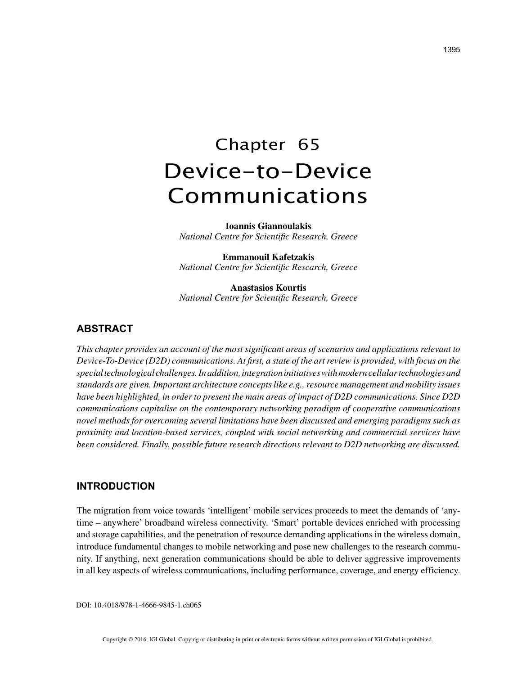# Chapter 65 Device-to-Device Communications

**Ioannis Giannoulakis** *National Centre for Scientific Research, Greece*

**Emmanouil Kafetzakis** *National Centre for Scientific Research, Greece*

**Anastasios Kourtis** *National Centre for Scientific Research, Greece*

# **ABSTRACT**

*This chapter provides an account of the most significant areas of scenarios and applications relevant to Device-To-Device (D2D) communications. At first, a state of the art review is provided, with focus on the special technological challenges. In addition, integration initiatives with modern cellular technologies and standards are given. Important architecture concepts like e.g., resource management and mobility issues have been highlighted, in order to present the main areas of impact of D2D communications. Since D2D communications capitalise on the contemporary networking paradigm of cooperative communications novel methods for overcoming several limitations have been discussed and emerging paradigms such as proximity and location-based services, coupled with social networking and commercial services have been considered. Finally, possible future research directions relevant to D2D networking are discussed.*

#### **INTRODUCTION**

The migration from voice towards 'intelligent' mobile services proceeds to meet the demands of 'anytime – anywhere' broadband wireless connectivity. 'Smart' portable devices enriched with processing and storage capabilities, and the penetration of resource demanding applications in the wireless domain, introduce fundamental changes to mobile networking and pose new challenges to the research community. If anything, next generation communications should be able to deliver aggressive improvements in all key aspects of wireless communications, including performance, coverage, and energy efficiency.

DOI: 10.4018/978-1-4666-9845-1.ch065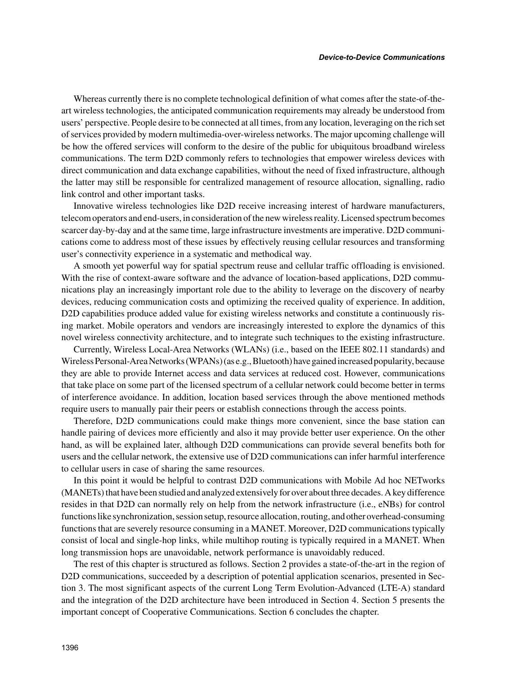Whereas currently there is no complete technological definition of what comes after the state-of-theart wireless technologies, the anticipated communication requirements may already be understood from users' perspective. People desire to be connected at all times, from any location, leveraging on the rich set of services provided by modern multimedia-over-wireless networks. The major upcoming challenge will be how the offered services will conform to the desire of the public for ubiquitous broadband wireless communications. The term D2D commonly refers to technologies that empower wireless devices with direct communication and data exchange capabilities, without the need of fixed infrastructure, although the latter may still be responsible for centralized management of resource allocation, signalling, radio link control and other important tasks.

Innovative wireless technologies like D2D receive increasing interest of hardware manufacturers, telecom operators and end-users, in consideration of the new wireless reality. Licensed spectrum becomes scarcer day-by-day and at the same time, large infrastructure investments are imperative. D2D communications come to address most of these issues by effectively reusing cellular resources and transforming user's connectivity experience in a systematic and methodical way.

A smooth yet powerful way for spatial spectrum reuse and cellular traffic offloading is envisioned. With the rise of context-aware software and the advance of location-based applications, D2D communications play an increasingly important role due to the ability to leverage on the discovery of nearby devices, reducing communication costs and optimizing the received quality of experience. In addition, D2D capabilities produce added value for existing wireless networks and constitute a continuously rising market. Mobile operators and vendors are increasingly interested to explore the dynamics of this novel wireless connectivity architecture, and to integrate such techniques to the existing infrastructure.

Currently, Wireless Local-Area Networks (WLANs) (i.e., based on the IEEE 802.11 standards) and Wireless Personal-Area Networks (WPANs) (as e.g., Bluetooth) have gained increased popularity, because they are able to provide Internet access and data services at reduced cost. However, communications that take place on some part of the licensed spectrum of a cellular network could become better in terms of interference avoidance. In addition, location based services through the above mentioned methods require users to manually pair their peers or establish connections through the access points.

Therefore, D2D communications could make things more convenient, since the base station can handle pairing of devices more efficiently and also it may provide better user experience. On the other hand, as will be explained later, although D2D communications can provide several benefits both for users and the cellular network, the extensive use of D2D communications can infer harmful interference to cellular users in case of sharing the same resources.

In this point it would be helpful to contrast D2D communications with Mobile Ad hoc NETworks (MANETs) that have been studied and analyzed extensively for over about three decades. A key difference resides in that D2D can normally rely on help from the network infrastructure (i.e., eNBs) for control functions like synchronization, session setup, resource allocation, routing, and other overhead-consuming functions that are severely resource consuming in a MANET. Moreover, D2D communications typically consist of local and single-hop links, while multihop routing is typically required in a MANET. When long transmission hops are unavoidable, network performance is unavoidably reduced.

The rest of this chapter is structured as follows. Section 2 provides a state-of-the-art in the region of D2D communications, succeeded by a description of potential application scenarios, presented in Section 3. The most significant aspects of the current Long Term Evolution-Advanced (LTE-A) standard and the integration of the D2D architecture have been introduced in Section 4. Section 5 presents the important concept of Cooperative Communications. Section 6 concludes the chapter.